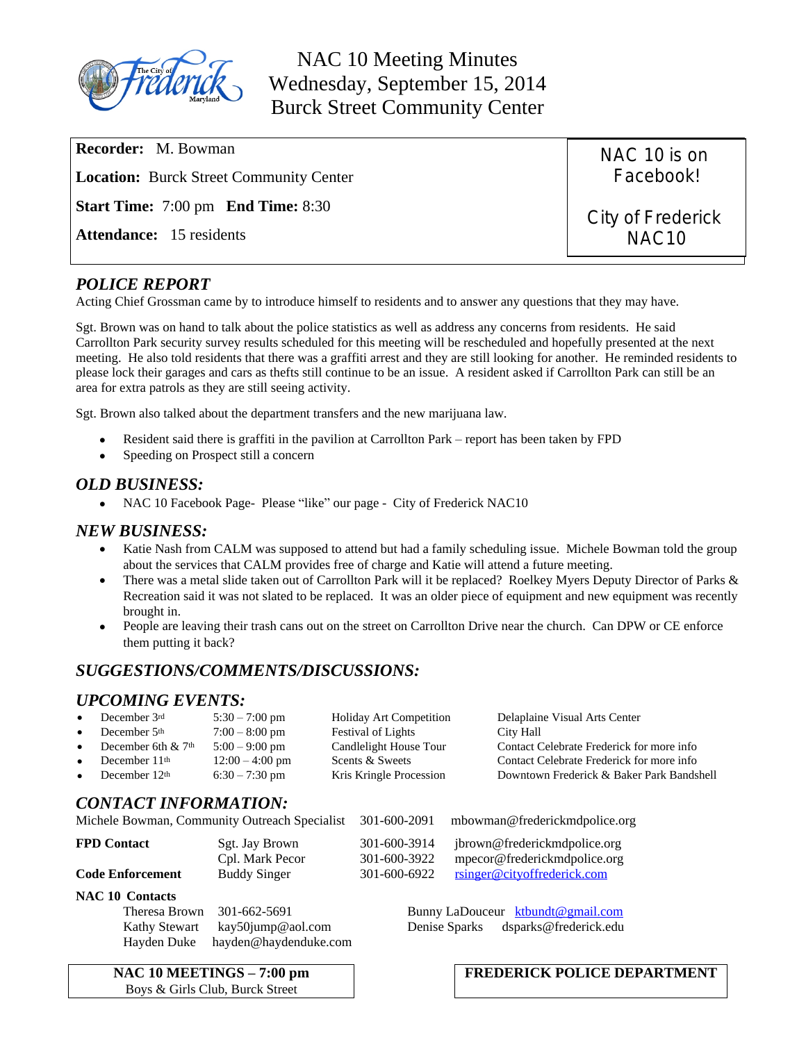

NAC 10 Meeting Minutes Wednesday, September 15, 2014 Burck Street Community Center

**Recorder:** M. Bowman **Location:** Burck Street Community Center **Start Time:** 7:00 pm **End Time:** 8:30 **Attendance:** 15 residents NAC 10 is on Facebook! City of Frederick NAC10

### *POLICE REPORT*

Acting Chief Grossman came by to introduce himself to residents and to answer any questions that they may have.

Sgt. Brown was on hand to talk about the police statistics as well as address any concerns from residents. He said Carrollton Park security survey results scheduled for this meeting will be rescheduled and hopefully presented at the next meeting. He also told residents that there was a graffiti arrest and they are still looking for another. He reminded residents to please lock their garages and cars as thefts still continue to be an issue. A resident asked if Carrollton Park can still be an area for extra patrols as they are still seeing activity.

Sgt. Brown also talked about the department transfers and the new marijuana law.

- Resident said there is graffiti in the pavilion at Carrollton Park report has been taken by FPD
- Speeding on Prospect still a concern

#### *OLD BUSINESS:*

• NAC 10 Facebook Page- Please "like" our page - City of Frederick NAC10

### *NEW BUSINESS:*

- Katie Nash from CALM was supposed to attend but had a family scheduling issue. Michele Bowman told the group about the services that CALM provides free of charge and Katie will attend a future meeting.
- There was a metal slide taken out of Carrollton Park will it be replaced? Roelkey Myers Deputy Director of Parks & Recreation said it was not slated to be replaced. It was an older piece of equipment and new equipment was recently brought in.
- People are leaving their trash cans out on the street on Carrollton Drive near the church. Can DPW or CE enforce them putting it back?

## *SUGGESTIONS/COMMENTS/DISCUSSIONS:*

### *UPCOMING EVENTS:*

| $\bullet$               | December 3rd<br>December 5th | $5:30 - 7:00$ pm                              | <b>Holiday Art Competition</b> | Delaplaine Visual Arts Center             |
|-------------------------|------------------------------|-----------------------------------------------|--------------------------------|-------------------------------------------|
| $\bullet$               |                              | $7:00 - 8:00$ pm                              | <b>Festival of Lights</b>      | City Hall                                 |
| $\bullet$               | December 6th & 7th           | $5:00 - 9:00$ pm                              | Candlelight House Tour         | Contact Celebrate Frederick for more info |
| $\bullet$               | December 11th                | $12:00 - 4:00$ pm                             | Scents & Sweets                | Contact Celebrate Frederick for more info |
| $\bullet$               | December 12th                | $6:30 - 7:30$ pm                              | Kris Kringle Procession        | Downtown Frederick & Baker Park Bandshell |
|                         | <b>CONTACT INFORMATION:</b>  | Michele Bowman, Community Outreach Specialist | 301-600-2091                   | mbowman@frederickmdpolice.org             |
|                         |                              |                                               |                                |                                           |
|                         | <b>FPD Contact</b>           | Sgt. Jay Brown                                | 301-600-3914                   | jbrown@frederickmdpolice.org              |
|                         |                              | Cpl. Mark Pecor                               | 301-600-3922                   | mpecor@frederickmdpolice.org              |
| <b>Code Enforcement</b> |                              | <b>Buddy Singer</b>                           | 301-600-6922                   | rsinger@cityoffrederick.com               |
|                         | <b>NAC 10 Contacts</b>       |                                               |                                |                                           |

Hayden Duke [hayden@haydenduke.com](mailto:hayden@haydenduke.com)

Theresa Brown 301-662-5691 Bunny LaDouceur [ktbundt@gmail.com](mailto:ktbundt@gmail.com) Kathy Stewart [kay50jump@aol.com](mailto:kay50jump@aol.com) Denise Sparks dsparks@frederick.edu

**NAC 10 MEETINGS – 7:00 pm** Boys & Girls Club, Burck Street

### **FREDERICK POLICE DEPARTMENT**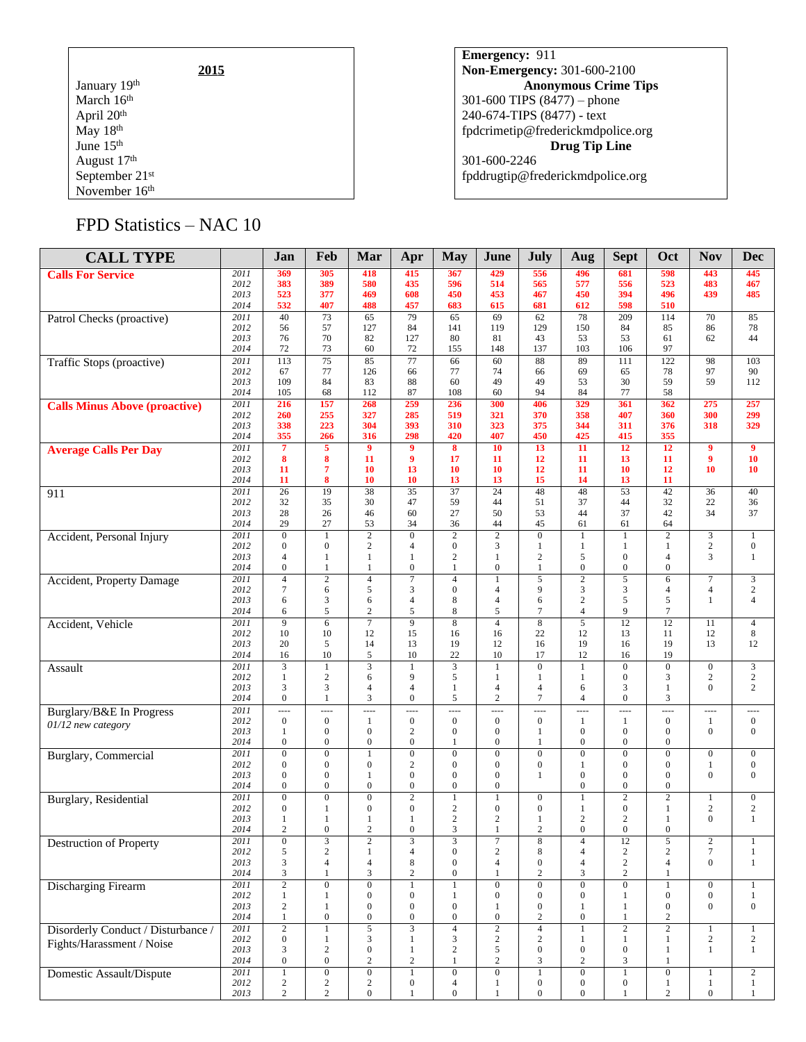|                  | 2015 |  |
|------------------|------|--|
| January 19th     |      |  |
| March 16th       |      |  |
| April 20th       |      |  |
| May 18th         |      |  |
| June 15th        |      |  |
| August 17th      |      |  |
| September $21st$ |      |  |
| November 16th    |      |  |

**Emergency:** 911 **Non-Emergency:** 301-600-2100 **Anonymous Crime Tips** 301-600 TIPS (8477) – phone 240-674-TIPS (8477) - text [fpdcrimetip@frederickmdpolice.org](mailto:fpdcrimetip@frederickmdpolice.org) **Drug Tip Line** 301-600-2246 fpddrugtip@frederickmdpolice.org

# FPD Statistics – NAC 10

| <b>CALL TYPE</b>                     |                   | Jan                              | Feb                          | Mar                                  | Apr                                  | <b>May</b>                           | June                                     | July                         | Aug                              | <b>Sept</b>                      | Oct                                | <b>Nov</b>                          | <b>Dec</b>                     |
|--------------------------------------|-------------------|----------------------------------|------------------------------|--------------------------------------|--------------------------------------|--------------------------------------|------------------------------------------|------------------------------|----------------------------------|----------------------------------|------------------------------------|-------------------------------------|--------------------------------|
| <b>Calls For Service</b>             | 2011              | 369                              | 305                          | 418                                  | 415                                  | 367                                  | 429                                      | 556                          | 496                              | 681                              | 598                                | 443                                 | 445                            |
|                                      | 2012              | 383                              | 389                          | 580                                  | 435                                  | 596                                  | 514                                      | 565                          | 577                              | 556                              | 523                                | 483                                 | 467                            |
|                                      | 2013              | 523                              | 377                          | 469                                  | 608                                  | 450                                  | 453                                      | 467                          | 450                              | 394                              | 496                                | 439                                 | 485                            |
|                                      | 2014              | 532                              | 407                          | 488                                  | 457                                  | 683                                  | 615                                      | 681                          | 612                              | 598                              | 510                                |                                     |                                |
| Patrol Checks (proactive)            | 2011<br>2012      | 40<br>56                         | 73<br>57                     | 65<br>127                            | 79<br>84                             | 65<br>141                            | 69<br>119                                | 62<br>129                    | 78<br>150                        | 209<br>84                        | 114<br>85                          | 70<br>86                            | 85<br>78                       |
|                                      | 2013              | 76                               | 70                           | 82                                   | 127                                  | 80                                   | 81                                       | 43                           | 53                               | 53                               | 61                                 | 62                                  | 44                             |
|                                      | 2014              | 72                               | 73                           | 60                                   | 72                                   | 155                                  | 148                                      | 137                          | 103                              | 106                              | 97                                 |                                     |                                |
| Traffic Stops (proactive)            | $\overline{2011}$ | 113                              | 75                           | 85                                   | 77                                   | 66                                   | 60                                       | 88                           | 89                               | 111                              | 122                                | 98                                  | 103                            |
|                                      | 2012              | 67                               | 77                           | 126                                  | 66                                   | 77                                   | 74                                       | 66                           | 69                               | 65                               | 78                                 | 97                                  | 90                             |
|                                      | 2013<br>2014      | 109<br>105                       | 84<br>68                     | 83<br>112                            | 88<br>87                             | 60<br>108                            | 49<br>60                                 | 49<br>94                     | 53<br>84                         | 30<br>77                         | 59<br>58                           | 59                                  | 112                            |
| <b>Calls Minus Above (proactive)</b> | 2011              | 216                              | 157                          | 268                                  | 259                                  | 236                                  | 300                                      | 406                          | 329                              | 361                              | 362                                | 275                                 | 257                            |
|                                      | 2012              | 260                              | 255                          | 327                                  | 285                                  | 519                                  | 321                                      | 370                          | 358                              | 407                              | 360                                | 300                                 | 299                            |
|                                      | 2013              | 338                              | 223                          | 304                                  | 393                                  | 310                                  | 323                                      | 375                          | 344                              | 311                              | 376                                | 318                                 | 329                            |
|                                      | 2014              | 355                              | 266                          | 316                                  | 298                                  | 420                                  | 407                                      | 450                          | 425                              | 415                              | 355                                |                                     |                                |
| <b>Average Calls Per Day</b>         | 2011<br>2012      | $\overline{7}$<br>8              | 5<br>8                       | $\overline{9}$<br>11                 | $\overline{9}$<br>9                  | $\overline{\mathbf{8}}$<br>17        | 10<br>11                                 | 13<br>12                     | 11<br>11                         | 12<br>13                         | 12<br>11                           | $\overline{9}$<br>$\boldsymbol{9}$  | $\overline{9}$<br>10           |
|                                      | 2013              | 11                               | $\overline{7}$               | 10                                   | 13                                   | 10                                   | 10                                       | 12                           | 11                               | 10                               | 12                                 | 10                                  | 10                             |
|                                      | 2014              | 11                               | 8                            | 10                                   | 10                                   | 13                                   | 13                                       | 15                           | 14                               | 13                               | 11                                 |                                     |                                |
| 911                                  | 2011              | $\overline{26}$                  | 19                           | 38                                   | $\overline{35}$                      | $\overline{37}$                      | $\overline{24}$                          | 48                           | 48                               | $\overline{53}$                  | $\overline{42}$                    | 36                                  | 40                             |
|                                      | 2012              | 32                               | 35                           | 30                                   | 47                                   | 59                                   | 44                                       | 51                           | 37                               | 44                               | 32                                 | 22                                  | 36                             |
|                                      | 2013<br>2014      | 28<br>29                         | 26<br>27                     | 46<br>53                             | 60<br>34                             | 27<br>36                             | 50<br>44                                 | 53<br>45                     | 44<br>61                         | 37<br>61                         | 42<br>64                           | 34                                  | 37                             |
| Accident, Personal Injury            | 2011              | $\overline{0}$                   | $\mathbf{1}$                 | $\overline{2}$                       | $\overline{0}$                       | $\overline{2}$                       | $\overline{2}$                           | $\overline{0}$               | 1                                | $\mathbf{1}$                     | $\overline{2}$                     | 3                                   | $\mathbf{1}$                   |
|                                      | 2012              | $\mathbf{0}$                     | $\mathbf{0}$                 | $\overline{c}$                       | $\overline{4}$                       | $\mathbf{0}$                         | 3                                        | 1                            | 1                                | $\mathbf{1}$                     | $\mathbf{1}$                       | $\overline{c}$                      | $\boldsymbol{0}$               |
|                                      | 2013              | $\overline{4}$                   | 1                            | $\mathbf{1}$                         | $\mathbf{1}$                         | $\sqrt{2}$                           | $\mathbf{1}$                             | $\overline{2}$               | 5                                | $\overline{0}$                   | $\overline{4}$                     | 3                                   | $\mathbf{1}$                   |
|                                      | 2014              | $\boldsymbol{0}$                 | $\mathbf{1}$                 | 1                                    | $\boldsymbol{0}$                     | 1                                    | $\mathbf{0}$                             | $\mathbf{1}$                 | $\mathbf{0}$                     | $\boldsymbol{0}$                 | $\boldsymbol{0}$                   |                                     |                                |
| Accident, Property Damage            | 2011              | 4                                | $\overline{2}$               | $\overline{4}$                       | 7                                    | $\overline{4}$                       | $\mathbf{1}$                             | 5<br>9                       | $\overline{2}$                   | 5                                | 6                                  | $\overline{7}$                      | $\mathfrak{Z}$                 |
|                                      | 2012<br>2013      | $\overline{7}$<br>6              | 6<br>$\mathfrak{Z}$          | 5<br>6                               | 3<br>$\overline{4}$                  | $\boldsymbol{0}$<br>8                | 4<br>4                                   | 6                            | $\mathfrak{Z}$<br>$\sqrt{2}$     | 3<br>5                           | $\overline{4}$<br>5                | $\overline{4}$<br>1                 | $\mathbf{2}$<br>$\overline{4}$ |
|                                      | 2014              | 6                                | 5                            | $\overline{c}$                       | 5                                    | 8                                    | 5                                        | 7                            | $\overline{4}$                   | 9                                | 7                                  |                                     |                                |
| Accident, Vehicle                    | 2011              | 9                                | 6                            | $\overline{7}$                       | 9                                    | $\overline{8}$                       | $\overline{4}$                           | 8                            | $\overline{5}$                   | 12                               | 12                                 | 11                                  | $\overline{4}$                 |
|                                      | 2012              | 10                               | 10                           | 12                                   | 15                                   | 16                                   | 16                                       | 22                           | 12                               | 13                               | 11                                 | 12                                  | 8                              |
|                                      | 2013<br>2014      | 20<br>16                         | 5<br>10                      | 14<br>5                              | 13<br>10                             | 19<br>22                             | 12<br>10                                 | 16<br>17                     | 19<br>12                         | 16<br>16                         | 19<br>19                           | 13                                  | 12                             |
| Assault                              | 2011              | 3                                | $\mathbf{1}$                 | 3                                    |                                      | 3                                    | $\mathbf{1}$                             | $\overline{0}$               | $\mathbf{1}$                     | $\boldsymbol{0}$                 | $\mathbf{0}$                       | $\mathbf{0}$                        | $\sqrt{3}$                     |
|                                      | 2012              | 1                                | $\mathbf{2}$                 | 6                                    | 9                                    | 5                                    | 1                                        | 1                            | 1                                | $\boldsymbol{0}$                 | 3                                  | $\overline{2}$                      | $\overline{c}$                 |
|                                      | 2013              | 3                                | 3                            | $\overline{4}$                       | $\overline{4}$                       | $\mathbf{1}$                         | $\overline{4}$                           | $\overline{4}$               | 6                                | 3                                | $\mathbf{1}$                       | $\mathbf{0}$                        | $\overline{c}$                 |
|                                      | 2014              | $\mathbf{0}$                     | $\mathbf{1}$                 | 3                                    | $\overline{0}$                       | 5                                    | $\overline{c}$                           | 7                            | $\overline{4}$                   | $\theta$                         | 3                                  |                                     |                                |
| Burglary/B&E In Progress             | 2011              | ----<br>$\mathbf{0}$             | ----<br>$\boldsymbol{0}$     | $\overline{a}$                       | ----                                 | $\overline{a}$<br>$\mathbf{0}$       | $\overline{\phantom{a}}$<br>$\mathbf{0}$ | ----                         | $\overline{a}$                   | $\overline{a}$                   | ----                               | ----                                | $\cdots$<br>$\mathbf{0}$       |
| 01/12 new category                   | 2012<br>2013      | 1                                | $\mathbf{0}$                 | 1<br>$\mathbf{0}$                    | $\boldsymbol{0}$<br>$\overline{c}$   | $\boldsymbol{0}$                     | $\mathbf{0}$                             | $\boldsymbol{0}$<br>1        | 1<br>$\overline{0}$              | $\mathbf{1}$<br>$\mathbf{0}$     | $\boldsymbol{0}$<br>$\mathbf{0}$   | 1<br>$\boldsymbol{0}$               | $\mathbf{0}$                   |
|                                      | 2014              | $\mathbf{0}$                     | $\mathbf{0}$                 | $\boldsymbol{0}$                     | $\boldsymbol{0}$                     | $\mathbf{1}$                         | $\boldsymbol{0}$                         | 1                            | $\mathbf{0}$                     | $\boldsymbol{0}$                 | $\boldsymbol{0}$                   |                                     |                                |
| <b>Burglary</b> , Commercial         | 2011              | $\mathbf{0}$                     | $\overline{0}$               | $\mathbf{1}$                         | $\overline{0}$                       | $\mathbf{0}$                         | $\mathbf{0}$                             | $\Omega$                     | $\mathbf{0}$                     | $\overline{0}$                   | $\mathbf{0}$                       | $\boldsymbol{0}$                    | $\boldsymbol{0}$               |
|                                      | 2012              | $\mathbf{0}$                     | $\boldsymbol{0}$             | $\boldsymbol{0}$                     | $\overline{c}$                       | $\mathbf{0}$                         | $\mathbf{0}$                             | 0                            | -1                               | $\boldsymbol{0}$                 | $\boldsymbol{0}$                   | 1                                   | $\boldsymbol{0}$               |
|                                      | 2013<br>2014      | $\mathbf{0}$<br>$\mathbf{0}$     | $\mathbf{0}$<br>$\mathbf{0}$ | $\mathbf{1}$<br>$\overline{0}$       | $\overline{0}$<br>$\mathbf{0}$       | $\mathbf{0}$<br>$\boldsymbol{0}$     | $\mathbf{0}$<br>$\overline{0}$           | 1                            | $\mathbf{0}$<br>$\overline{0}$   | $\mathbf{0}$<br>$\mathbf{0}$     | $\mathbf{0}$<br>$\mathbf{0}$       | $\mathbf{0}$                        | $\overline{0}$                 |
| Burglary, Residential                | 2011              | $\mathbf{0}$                     | $\overline{0}$               | $\overline{0}$                       | $\overline{2}$                       | $\overline{1}$                       | $\mathbf{1}$                             | $\overline{0}$               | $\mathbf{1}$                     | $\overline{2}$                   | $\overline{2}$                     | $\mathbf{1}$                        | $\overline{0}$                 |
|                                      | 2012              | $\mathbf{0}$                     | $\mathbf{1}$                 | $\boldsymbol{0}$                     | $\mathbf{0}$                         | 2                                    | $\boldsymbol{0}$                         | $\overline{0}$               | 1                                | $\boldsymbol{0}$                 | $\mathbf{1}$                       | $\overline{c}$                      | $\sqrt{2}$                     |
|                                      | 2013              | 1                                | 1                            | 1                                    | -1                                   | 2                                    | $\overline{c}$                           | 1                            | $\mathbf{2}$                     | $\overline{2}$                   | 1                                  | $\mathbf{0}$                        | $\mathbf{1}$                   |
|                                      | 2014              | $\overline{c}$                   | $\mathbf{0}$                 | $\overline{c}$                       | $\overline{0}$                       | 3                                    | 1                                        | 2                            | $\mathbf{0}$                     | $\mathbf{0}$                     | $\overline{0}$                     |                                     |                                |
| Destruction of Property              | 2011<br>2012      | $\boldsymbol{0}$<br>5            | 3<br>$\mathfrak{2}$          | $\boldsymbol{2}$<br>$\mathbf{1}$     | 3<br>4                               | 3<br>$\boldsymbol{0}$                | 7<br>$\overline{c}$                      | 8<br>8                       | $\overline{4}$<br>$\overline{4}$ | 12<br>$\sqrt{2}$                 | 5<br>$\overline{c}$                | $\boldsymbol{2}$<br>$7\phantom{.0}$ | 1<br>$\mathbf{1}$              |
|                                      | 2013              | 3                                | $\overline{4}$               | 4                                    | 8                                    | $\mathbf{0}$                         | 4                                        | $\boldsymbol{0}$             | $\overline{4}$                   | $\sqrt{2}$                       | 4                                  | $\mathbf{0}$                        | $\mathbf{1}$                   |
|                                      | 2014              | 3                                | 1                            | 3                                    | 2                                    | $\boldsymbol{0}$                     | 1                                        | 2                            | 3                                | $\sqrt{2}$                       | 1                                  |                                     |                                |
| <b>Discharging Firearm</b>           | 2011              | $\overline{2}$                   | $\overline{0}$               | $\overline{0}$                       |                                      | $\overline{1}$                       | $\overline{0}$                           | $\overline{0}$               | $\overline{0}$                   | $\overline{0}$                   | 1                                  | $\overline{0}$                      | $\mathbf{1}$                   |
|                                      | 2012              | $\mathbf{1}$                     | 1                            | $\boldsymbol{0}$                     | $\overline{0}$                       | 1                                    | $\boldsymbol{0}$                         | $\boldsymbol{0}$             | $\mathbf{0}$                     | 1                                | $\mathbf{0}$                       | $\mathbf{0}$                        | $\,1$                          |
|                                      | 2013<br>2014      | $\boldsymbol{2}$<br>$\mathbf{1}$ | 1<br>$\boldsymbol{0}$        | $\boldsymbol{0}$<br>$\boldsymbol{0}$ | $\boldsymbol{0}$<br>$\boldsymbol{0}$ | $\boldsymbol{0}$<br>$\boldsymbol{0}$ | 1<br>$\boldsymbol{0}$                    | $\boldsymbol{0}$<br>2        | -1<br>$\boldsymbol{0}$           | 1<br>$\mathbf{1}$                | $\boldsymbol{0}$<br>$\overline{c}$ | $\mathbf{0}$                        | $\boldsymbol{0}$               |
| Disorderly Conduct / Disturbance /   | 2011              | $\overline{2}$                   | $\mathbf{1}$                 | $\overline{5}$                       | $\overline{3}$                       | $\overline{4}$                       | $\sqrt{2}$                               | $\overline{4}$               | $\mathbf{1}$                     | $\overline{2}$                   | $\overline{2}$                     | $\mathbf{1}$                        | $\mathbf{1}$                   |
| Fights/Harassment / Noise            | 2012              | $\overline{0}$                   | $\mathbf{1}$                 | 3                                    | 1                                    | 3                                    | $\overline{c}$                           | 2                            | 1                                | $\mathbf{1}$                     | 1                                  | $\overline{c}$                      | $\overline{c}$                 |
|                                      | 2013              | 3                                | $\sqrt{2}$                   | $\boldsymbol{0}$                     | 1                                    | $\overline{c}$                       | 5                                        | $\mathbf{0}$                 | $\mathbf{0}$                     | $\boldsymbol{0}$                 | 1                                  | 1                                   | $\mathbf{1}$                   |
|                                      | 2014              | $\boldsymbol{0}$                 | $\boldsymbol{0}$             | 2                                    | $\overline{c}$                       | $\mathbf{1}$                         | $\overline{c}$                           | 3                            | 2                                | 3                                | 1                                  |                                     |                                |
| Domestic Assault/Dispute             | 2011<br>2012      | $\mathbf{1}$<br>$\overline{c}$   | $\overline{0}$               | $\overline{0}$<br>$\sqrt{2}$         | $\mathbf{1}$<br>$\boldsymbol{0}$     | $\overline{0}$<br>$\overline{4}$     | $\boldsymbol{0}$<br>$\mathbf{1}$         | $\mathbf{1}$<br>$\mathbf{0}$ | $\mathbf{0}$<br>$\boldsymbol{0}$ | $\mathbf{1}$<br>$\boldsymbol{0}$ | $\boldsymbol{0}$<br>1              | $\mathbf{1}$<br>$\mathbf{1}$        | $\overline{c}$<br>$\mathbf{1}$ |
|                                      | 2013              | $\overline{c}$                   | $\frac{2}{2}$                | $\boldsymbol{0}$                     |                                      | $\boldsymbol{0}$                     | 1                                        | $\mathbf{0}$                 | $\mathbf{0}$                     | 1                                | $\mathbf{2}$                       | $\boldsymbol{0}$                    | $\mathbf{1}$                   |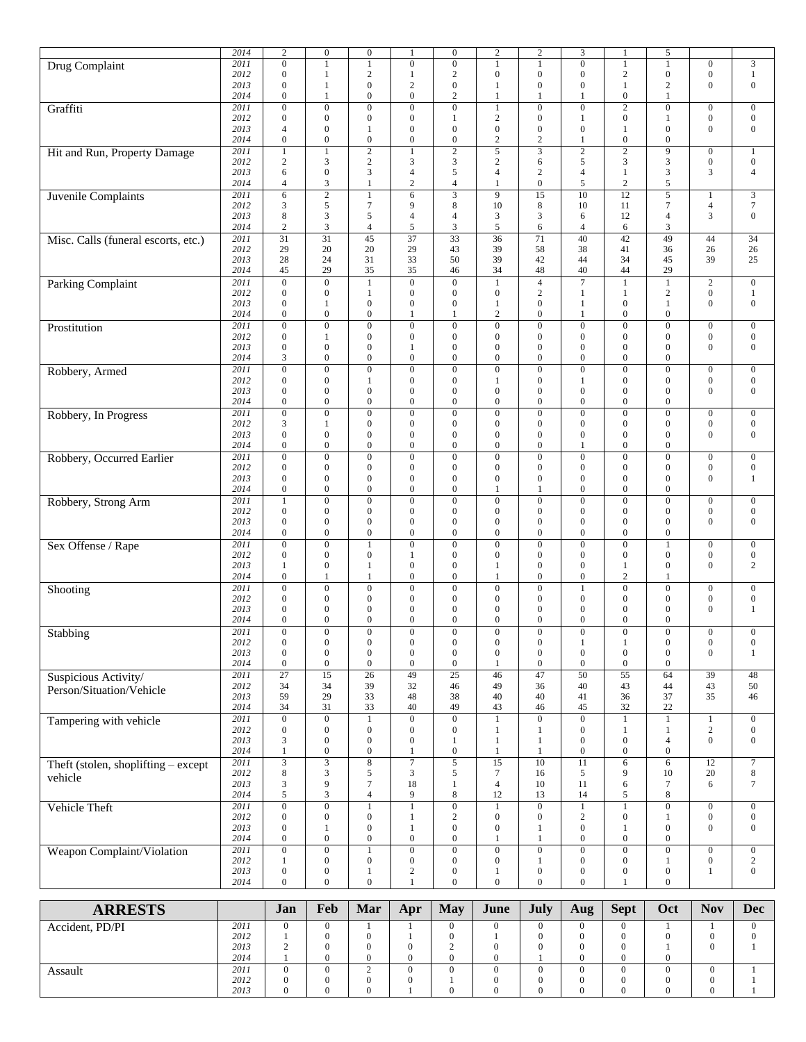|                                       | 2014 | $\sqrt{2}$       | $\mathbf{0}$     | $\boldsymbol{0}$ | 1                | $\mathbf{0}$     | $\boldsymbol{2}$ | $\sqrt{2}$       | 3                | $\mathbf{1}$     | 5                       |                  |                  |
|---------------------------------------|------|------------------|------------------|------------------|------------------|------------------|------------------|------------------|------------------|------------------|-------------------------|------------------|------------------|
| Drug Complaint                        | 2011 | $\boldsymbol{0}$ | $\mathbf{1}$     | $\mathbf{1}$     | $\boldsymbol{0}$ | $\boldsymbol{0}$ | $\mathbf{1}$     | 1                | $\mathbf{0}$     | $\mathbf{1}$     |                         | $\mathbf{0}$     | $\mathfrak{Z}$   |
|                                       | 2012 | $\boldsymbol{0}$ | $\mathbf{1}$     | $\overline{2}$   | 1                | $\mathbf{2}$     | $\boldsymbol{0}$ | $\mathbf{0}$     | $\mathbf{0}$     | $\mathbf{2}$     | $\boldsymbol{0}$        | $\boldsymbol{0}$ | $\mathbf{1}$     |
|                                       | 2013 | $\mathbf{0}$     | 1                | $\mathbf{0}$     | $\mathbf{2}$     | $\boldsymbol{0}$ | 1                | $\mathbf{0}$     | $\mathbf{0}$     | 1                | $\overline{c}$          | $\mathbf{0}$     | $\boldsymbol{0}$ |
|                                       | 2014 | $\boldsymbol{0}$ | $\mathbf{1}$     | $\mathbf{0}$     | $\boldsymbol{0}$ | $\mathfrak{2}$   | $\mathbf{1}$     | 1                | $\mathbf{1}$     | $\boldsymbol{0}$ |                         |                  |                  |
| Graffiti                              | 2011 | $\boldsymbol{0}$ | $\boldsymbol{0}$ | $\mathbf{0}$     | $\boldsymbol{0}$ | $\boldsymbol{0}$ | $\mathbf{1}$     | $\mathbf{0}$     | $\mathbf{0}$     | $\overline{c}$   | $\boldsymbol{0}$        | $\mathbf{0}$     | $\mathbf{0}$     |
|                                       | 2012 | $\boldsymbol{0}$ | $\mathbf{0}$     | $\mathbf{0}$     | $\boldsymbol{0}$ | $\mathbf{1}$     | $\overline{c}$   | $\mathbf{0}$     | $\mathbf{1}$     | $\boldsymbol{0}$ | 1                       | $\mathbf{0}$     | $\boldsymbol{0}$ |
|                                       | 2013 | $\overline{4}$   | $\boldsymbol{0}$ | 1                | $\boldsymbol{0}$ | $\boldsymbol{0}$ | $\boldsymbol{0}$ | $\mathbf{0}$     | $\boldsymbol{0}$ | 1                | $\mathbf{0}$            | $\boldsymbol{0}$ | $\boldsymbol{0}$ |
|                                       | 2014 | $\boldsymbol{0}$ | $\boldsymbol{0}$ | $\boldsymbol{0}$ | $\boldsymbol{0}$ | $\boldsymbol{0}$ | $\sqrt{2}$       | 2                | $\mathbf{1}$     | $\boldsymbol{0}$ | $\boldsymbol{0}$        |                  |                  |
| Hit and Run, Property Damage          | 2011 | $\mathbf{1}$     | $\mathbf{1}$     | $\overline{2}$   | 1                | $\overline{2}$   | $\overline{5}$   | 3                | $\overline{c}$   | $\overline{2}$   | 9                       | $\mathbf{0}$     | $\mathbf{1}$     |
|                                       | 2012 | $\overline{c}$   | 3                | $\sqrt{2}$       | 3                | 3                | $\sqrt{2}$       | 6                | $\sqrt{5}$       | 3                | 3                       | $\boldsymbol{0}$ | $\boldsymbol{0}$ |
|                                       | 2013 | 6                | $\boldsymbol{0}$ | 3                | $\overline{4}$   | 5                | $\overline{4}$   | 2                | $\overline{4}$   | $\mathbf{1}$     | 3                       | 3                | $\overline{4}$   |
|                                       | 2014 | $\overline{4}$   | 3                | $\mathbf{1}$     | $\mathbf{2}$     | $\overline{4}$   | $\mathbf{1}$     | $\mathbf{0}$     | 5                | $\overline{c}$   | 5                       |                  |                  |
| Juvenile Complaints                   | 2011 | 6                | $\sqrt{2}$       | $\mathbf{1}$     | 6                | 3                | 9                | 15               | 10               | 12               | 5                       | $\mathbf{1}$     | $\mathfrak{Z}$   |
|                                       | 2012 | 3                | 5                | $\overline{7}$   | 9                | 8                | 10               | 8                | 10               | 11               | $\tau$                  | $\overline{4}$   | $\boldsymbol{7}$ |
|                                       | 2013 | 8                | 3                | 5                | 4                | $\overline{4}$   | 3                | 3                | 6                | 12               | $\overline{4}$          | 3                | $\boldsymbol{0}$ |
|                                       | 2014 | $\overline{c}$   | 3                | $\overline{4}$   | 5                | 3                | 5                | 6                | $\overline{4}$   | 6                | 3                       |                  |                  |
| Misc. Calls (funeral escorts, etc.)   | 2011 | 31               | $\overline{31}$  | $\overline{45}$  | $\overline{37}$  | $\overline{33}$  | $\overline{36}$  | 71               | 40               | 42               | 49                      | 44               | 34               |
|                                       | 2012 | 29               | 20               | 20               | 29               | 43               | 39               | 58               | 38               | 41               | 36                      | 26               | 26               |
|                                       | 2013 | 28               | 24               | 31               | 33               | 50               | 39               | 42               | 44               | 34               | 45                      | 39               | 25               |
|                                       | 2014 | 45               | 29               | 35               | 35               | 46               | 34               | 48               | 40               | 44               | 29                      |                  |                  |
| <b>Parking Complaint</b>              | 2011 | $\overline{0}$   | $\mathbf{0}$     | $\mathbf{1}$     | $\mathbf{0}$     | $\overline{0}$   | $\mathbf{1}$     | $\overline{4}$   | $\overline{7}$   | $\overline{1}$   | $\mathbf{1}$            | $\overline{2}$   | $\mathbf{0}$     |
|                                       | 2012 | $\boldsymbol{0}$ | $\mathbf{0}$     | 1                | $\boldsymbol{0}$ | $\boldsymbol{0}$ | $\boldsymbol{0}$ | 2                | 1                | 1                | $\overline{\mathbf{c}}$ | $\boldsymbol{0}$ | $\mathbf{1}$     |
|                                       | 2013 | $\boldsymbol{0}$ | 1                | $\mathbf{0}$     | $\boldsymbol{0}$ | $\boldsymbol{0}$ | $\mathbf{1}$     | $\mathbf{0}$     | $\mathbf{1}$     | $\boldsymbol{0}$ | $\mathbf{1}$            | $\boldsymbol{0}$ | $\boldsymbol{0}$ |
|                                       | 2014 | $\boldsymbol{0}$ | $\boldsymbol{0}$ | $\mathbf{0}$     | 1                | 1                | $\sqrt{2}$       | $\mathbf{0}$     | 1                | $\boldsymbol{0}$ | $\boldsymbol{0}$        |                  |                  |
| Prostitution                          | 2011 | $\mathbf{0}$     | $\boldsymbol{0}$ | $\overline{0}$   | $\boldsymbol{0}$ | $\boldsymbol{0}$ | $\overline{0}$   | $\mathbf{0}$     | $\mathbf{0}$     | $\overline{0}$   | $\overline{0}$          | $\mathbf{0}$     | $\mathbf{0}$     |
|                                       | 2012 | $\boldsymbol{0}$ | 1                | $\boldsymbol{0}$ | $\boldsymbol{0}$ | $\boldsymbol{0}$ | $\boldsymbol{0}$ | $\mathbf{0}$     | $\mathbf{0}$     | $\boldsymbol{0}$ | $\boldsymbol{0}$        | $\mathbf{0}$     | $\mathbf{0}$     |
|                                       | 2013 | $\boldsymbol{0}$ | $\mathbf{0}$     | $\mathbf{0}$     | 1                | $\mathbf{0}$     | $\boldsymbol{0}$ | $\mathbf{0}$     | $\mathbf{0}$     | $\mathbf{0}$     | $\mathbf{0}$            | $\mathbf{0}$     | $\boldsymbol{0}$ |
|                                       | 2014 | 3                | $\boldsymbol{0}$ | $\boldsymbol{0}$ | $\boldsymbol{0}$ | $\boldsymbol{0}$ | $\boldsymbol{0}$ | $\mathbf{0}$     | $\boldsymbol{0}$ | $\mathbf{0}$     | $\mathbf{0}$            |                  |                  |
| Robbery, Armed                        | 2011 | $\overline{0}$   | $\overline{0}$   | $\overline{0}$   | $\boldsymbol{0}$ | $\boldsymbol{0}$ | $\overline{0}$   | $\overline{0}$   | $\overline{0}$   | $\overline{0}$   | $\boldsymbol{0}$        | $\mathbf{0}$     | $\mathbf{0}$     |
|                                       | 2012 | $\boldsymbol{0}$ | $\mathbf{0}$     | 1                | $\boldsymbol{0}$ | $\boldsymbol{0}$ | $\mathbf{1}$     | $\mathbf{0}$     | $\mathbf{1}$     | $\boldsymbol{0}$ | $\boldsymbol{0}$        | $\mathbf{0}$     | $\mathbf{0}$     |
|                                       | 2013 | $\boldsymbol{0}$ | $\boldsymbol{0}$ | $\mathbf{0}$     | $\boldsymbol{0}$ | $\boldsymbol{0}$ | $\boldsymbol{0}$ | $\mathbf{0}$     | $\mathbf{0}$     | $\boldsymbol{0}$ | $\overline{0}$          | $\mathbf{0}$     | $\boldsymbol{0}$ |
|                                       | 2014 | $\boldsymbol{0}$ | $\boldsymbol{0}$ | $\boldsymbol{0}$ | $\boldsymbol{0}$ | $\boldsymbol{0}$ | $\boldsymbol{0}$ | $\mathbf{0}$     | $\mathbf{0}$     | $\boldsymbol{0}$ | $\boldsymbol{0}$        |                  |                  |
| Robbery, In Progress                  | 2011 | $\boldsymbol{0}$ | $\boldsymbol{0}$ | $\mathbf{0}$     | $\boldsymbol{0}$ | $\boldsymbol{0}$ | $\boldsymbol{0}$ | $\mathbf{0}$     | $\mathbf{0}$     | $\boldsymbol{0}$ | $\boldsymbol{0}$        | $\mathbf{0}$     | $\mathbf{0}$     |
|                                       | 2012 | 3                | $\mathbf{1}$     | $\mathbf{0}$     | $\boldsymbol{0}$ | $\mathbf{0}$     | $\mathbf{0}$     | $\mathbf{0}$     | $\mathbf{0}$     | $\boldsymbol{0}$ | $\overline{0}$          | $\boldsymbol{0}$ | $\boldsymbol{0}$ |
|                                       | 2013 | $\boldsymbol{0}$ | $\boldsymbol{0}$ | $\mathbf{0}$     | $\boldsymbol{0}$ | $\boldsymbol{0}$ | $\boldsymbol{0}$ | $\mathbf{0}$     | $\mathbf{0}$     | $\boldsymbol{0}$ | $\mathbf{0}$            | $\mathbf{0}$     | $\boldsymbol{0}$ |
|                                       | 2014 | $\boldsymbol{0}$ | $\mathbf{0}$     | $\mathbf{0}$     | $\boldsymbol{0}$ | $\boldsymbol{0}$ | $\boldsymbol{0}$ | $\mathbf{0}$     | $\mathbf{1}$     | $\mathbf{0}$     | $\mathbf{0}$            |                  |                  |
| Robbery, Occurred Earlier             | 2011 | $\boldsymbol{0}$ | $\overline{0}$   | $\mathbf{0}$     | $\boldsymbol{0}$ | $\boldsymbol{0}$ | $\boldsymbol{0}$ | $\overline{0}$   | $\mathbf{0}$     | $\mathbf{0}$     | $\boldsymbol{0}$        | $\mathbf{0}$     | $\mathbf{0}$     |
|                                       | 2012 | $\boldsymbol{0}$ | $\mathbf{0}$     | $\boldsymbol{0}$ | $\boldsymbol{0}$ | $\mathbf{0}$     | $\boldsymbol{0}$ | $\mathbf{0}$     | $\mathbf{0}$     | $\boldsymbol{0}$ | $\boldsymbol{0}$        | $\mathbf{0}$     | $\boldsymbol{0}$ |
|                                       | 2013 | $\boldsymbol{0}$ | $\boldsymbol{0}$ | $\boldsymbol{0}$ | $\boldsymbol{0}$ | $\boldsymbol{0}$ | $\boldsymbol{0}$ | $\mathbf{0}$     | $\mathbf{0}$     | $\boldsymbol{0}$ | $\boldsymbol{0}$        | $\mathbf{0}$     | $\mathbf{1}$     |
|                                       | 2014 | $\boldsymbol{0}$ | $\mathbf{0}$     | $\mathbf{0}$     | $\overline{0}$   | $\boldsymbol{0}$ | $\mathbf{1}$     | 1                | $\mathbf{0}$     | $\mathbf{0}$     | $\mathbf{0}$            |                  |                  |
| Robbery, Strong Arm                   | 2011 | $\mathbf{1}$     | $\boldsymbol{0}$ | $\mathbf{0}$     | $\boldsymbol{0}$ | $\boldsymbol{0}$ | $\boldsymbol{0}$ | $\overline{0}$   | $\mathbf{0}$     | $\boldsymbol{0}$ | $\boldsymbol{0}$        | $\mathbf{0}$     | $\mathbf{0}$     |
|                                       | 2012 | $\mathbf{0}$     | $\mathbf{0}$     | $\mathbf{0}$     | $\boldsymbol{0}$ | $\boldsymbol{0}$ | $\boldsymbol{0}$ | $\mathbf{0}$     | $\mathbf{0}$     | $\boldsymbol{0}$ | $\mathbf{0}$            | $\mathbf{0}$     | $\boldsymbol{0}$ |
|                                       | 2013 | $\boldsymbol{0}$ | $\boldsymbol{0}$ | $\boldsymbol{0}$ | $\boldsymbol{0}$ | $\boldsymbol{0}$ | $\boldsymbol{0}$ | $\mathbf{0}$     | $\mathbf{0}$     | $\boldsymbol{0}$ | $\mathbf{0}$            | $\mathbf{0}$     | $\mathbf{0}$     |
|                                       | 2014 | $\boldsymbol{0}$ | $\mathbf{0}$     | $\mathbf{0}$     | $\boldsymbol{0}$ | $\boldsymbol{0}$ | $\boldsymbol{0}$ | $\mathbf{0}$     | $\mathbf{0}$     | $\overline{0}$   | $\boldsymbol{0}$        |                  |                  |
| Sex Offense / Rape                    | 2011 | $\boldsymbol{0}$ | $\boldsymbol{0}$ |                  | $\boldsymbol{0}$ | $\boldsymbol{0}$ | $\overline{0}$   | $\mathbf{0}$     | $\overline{0}$   | $\boldsymbol{0}$ |                         | $\boldsymbol{0}$ | $\boldsymbol{0}$ |
|                                       | 2012 | $\mathbf{0}$     | $\mathbf{0}$     | $\mathbf{0}$     | 1                | $\boldsymbol{0}$ | $\mathbf{0}$     | $\mathbf{0}$     | $\overline{0}$   | $\boldsymbol{0}$ | $\mathbf{0}$            | $\mathbf{0}$     | $\boldsymbol{0}$ |
|                                       | 2013 | $\mathbf{1}$     | $\mathbf{0}$     | $\mathbf{1}$     | $\boldsymbol{0}$ | $\boldsymbol{0}$ | $\mathbf{1}$     | $\mathbf{0}$     | $\overline{0}$   | $\mathbf{1}$     | $\mathbf{0}$            | $\mathbf{0}$     | $\mathbf{2}$     |
|                                       | 2014 | $\boldsymbol{0}$ | 1                | 1                | $\boldsymbol{0}$ | $\boldsymbol{0}$ | 1                | $\mathbf{0}$     | $\mathbf{0}$     | $\mathbf{2}$     |                         |                  |                  |
| Shooting                              | 2011 | $\boldsymbol{0}$ | $\boldsymbol{0}$ | $\mathbf{0}$     | $\boldsymbol{0}$ | $\boldsymbol{0}$ | $\boldsymbol{0}$ | $\overline{0}$   | $\mathbf{1}$     | $\boldsymbol{0}$ | $\boldsymbol{0}$        | $\boldsymbol{0}$ | $\boldsymbol{0}$ |
|                                       | 2012 | $\boldsymbol{0}$ | $\boldsymbol{0}$ | $\boldsymbol{0}$ | $\boldsymbol{0}$ | $\boldsymbol{0}$ | $\boldsymbol{0}$ | $\mathbf{0}$     | $\boldsymbol{0}$ | $\boldsymbol{0}$ | $\boldsymbol{0}$        | $\boldsymbol{0}$ | $\boldsymbol{0}$ |
|                                       | 2013 | $\boldsymbol{0}$ | $\mathbf{0}$     | $\boldsymbol{0}$ | $\boldsymbol{0}$ | $\boldsymbol{0}$ | $\boldsymbol{0}$ | $\mathbf{0}$     | $\mathbf{0}$     | $\boldsymbol{0}$ | $\mathbf{0}$            | $\mathbf{0}$     | $\mathbf{1}$     |
|                                       | 2014 | $\boldsymbol{0}$ | $\boldsymbol{0}$ | $\mathbf{0}$     | $\boldsymbol{0}$ | $\boldsymbol{0}$ | $\boldsymbol{0}$ | $\boldsymbol{0}$ | $\boldsymbol{0}$ | $\boldsymbol{0}$ | $\boldsymbol{0}$        |                  |                  |
| $\overline{\text{Stabbing}}$          | 2011 | $\boldsymbol{0}$ | $\overline{0}$   | $\overline{0}$   | $\mathbf{0}$     | $\mathbf{0}$     | $\overline{0}$   | $\mathbf{0}$     | $\mathbf{0}$     | $\overline{0}$   | $\overline{0}$          | $\mathbf{0}$     | $\mathbf{0}$     |
|                                       | 2012 | $\boldsymbol{0}$ | $\boldsymbol{0}$ | $\boldsymbol{0}$ | $\boldsymbol{0}$ | $\boldsymbol{0}$ | $\boldsymbol{0}$ | $\mathbf{0}$     | $\mathbf{1}$     | $\mathbf{1}$     | $\boldsymbol{0}$        | $\boldsymbol{0}$ | $\boldsymbol{0}$ |
|                                       | 2013 | $\boldsymbol{0}$ | $\boldsymbol{0}$ | $\boldsymbol{0}$ | $\boldsymbol{0}$ | $\boldsymbol{0}$ | $\boldsymbol{0}$ | $\mathbf{0}$     | $\mathbf{0}$     | $\boldsymbol{0}$ | $\boldsymbol{0}$        | $\mathbf{0}$     | $\mathbf{1}$     |
|                                       | 2014 | $\boldsymbol{0}$ | $\boldsymbol{0}$ | $\mathbf{0}$     | $\boldsymbol{0}$ | $\boldsymbol{0}$ | 1                | $\boldsymbol{0}$ | $\mathbf{0}$     | $\boldsymbol{0}$ | $\boldsymbol{0}$        |                  |                  |
| Suspicious Activity/                  | 2011 | $\overline{27}$  | 15               | $\overline{26}$  | 49               | $\overline{25}$  | 46               | 47               | $\overline{50}$  | 55               | 64                      | 39               | 48               |
| Person/Situation/Vehicle              | 2012 | 34               | 34               | 39               | 32               | 46               | 49               | 36               | 40               | 43               | 44                      | 43               | 50               |
|                                       | 2013 | 59               | 29               | 33               | 48               | 38               | 40               | 40               | 41               | 36               | 37                      | 35               | 46               |
|                                       | 2014 | 34               | 31               | 33               | 40               | 49               | 43               | 46               | 45               | 32               | 22                      |                  |                  |
| Tampering with vehicle                | 2011 | $\boldsymbol{0}$ | $\overline{0}$   | $\mathbf{1}$     | $\overline{0}$   | $\overline{0}$   | $\mathbf{1}$     | $\mathbf{0}$     | $\overline{0}$   | $\mathbf{1}$     | 1                       | $\mathbf{1}$     | $\boldsymbol{0}$ |
|                                       | 2012 | $\boldsymbol{0}$ | $\boldsymbol{0}$ | $\boldsymbol{0}$ | $\boldsymbol{0}$ | $\boldsymbol{0}$ | $\mathbf{1}$     | 1                | $\mathbf{0}$     | $\mathbf{1}$     | 1                       | $\mathbf{2}$     | $\boldsymbol{0}$ |
|                                       | 2013 | 3                | $\boldsymbol{0}$ | $\mathbf{0}$     | $\boldsymbol{0}$ | $\mathbf{1}$     | $\mathbf{1}$     | 1                | $\mathbf{0}$     | $\boldsymbol{0}$ | $\overline{4}$          | $\mathbf{0}$     | $\boldsymbol{0}$ |
|                                       | 2014 | $\mathbf{1}$     | $\boldsymbol{0}$ | $\mathbf{0}$     | 1                | $\boldsymbol{0}$ | $\mathbf{1}$     | 1                | $\mathbf{0}$     | $\boldsymbol{0}$ | $\boldsymbol{0}$        |                  |                  |
| Theft (stolen, shoplifting $-$ except | 2011 | 3                | 3                | $\overline{8}$   | $\boldsymbol{7}$ | $\overline{5}$   | $\overline{15}$  | 10               | 11               | 6                | 6                       | 12               | $\tau$           |
| vehicle                               | 2012 | $\,$ 8 $\,$      | 3                | 5                | 3                | 5                | $\boldsymbol{7}$ | 16               | 5                | 9                | 10                      | 20               | $\,8\,$          |
|                                       | 2013 | 3                | 9                | $\tau$           | 18               | $\mathbf{1}$     | $\overline{4}$   | 10               | 11               | 6                | 7                       | 6                | $\tau$           |
|                                       | 2014 | 5                | 3                | $\overline{4}$   | 9                | 8                | 12               | 13               | 14               | 5                | 8                       |                  |                  |
| Vehicle Theft                         | 2011 | $\boldsymbol{0}$ | $\boldsymbol{0}$ | $\mathbf{1}$     | 1                | $\boldsymbol{0}$ | $\,1$            | $\mathbf{0}$     | $\mathbf{1}$     | $\mathbf{1}$     | $\boldsymbol{0}$        | $\boldsymbol{0}$ | $\boldsymbol{0}$ |
|                                       | 2012 | $\boldsymbol{0}$ | $\boldsymbol{0}$ | $\mathbf{0}$     | 1                | $\sqrt{2}$       | $\boldsymbol{0}$ | $\mathbf{0}$     | 2                | $\boldsymbol{0}$ | 1                       | $\boldsymbol{0}$ | $\boldsymbol{0}$ |
|                                       | 2013 | $\boldsymbol{0}$ | $\mathbf{1}$     | $\boldsymbol{0}$ | 1                | $\boldsymbol{0}$ | $\boldsymbol{0}$ | 1                | $\mathbf{0}$     | 1                | $\boldsymbol{0}$        | $\mathbf{0}$     | $\mathbf{0}$     |
|                                       | 2014 | $\boldsymbol{0}$ | $\overline{0}$   | $\mathbf{0}$     | $\boldsymbol{0}$ | $\boldsymbol{0}$ | $\mathbf{1}$     | 1                | $\mathbf{0}$     | $\boldsymbol{0}$ | $\boldsymbol{0}$        |                  |                  |
| Weapon Complaint/Violation            | 2011 | $\boldsymbol{0}$ | $\overline{0}$   | $\mathbf{1}$     | $\boldsymbol{0}$ | $\overline{0}$   | $\overline{0}$   | $\mathbf{0}$     | $\overline{0}$   | $\overline{0}$   | $\boldsymbol{0}$        | $\boldsymbol{0}$ | $\boldsymbol{0}$ |
|                                       | 2012 | $\mathbf{1}$     | $\boldsymbol{0}$ | $\boldsymbol{0}$ | $\boldsymbol{0}$ | $\boldsymbol{0}$ | $\boldsymbol{0}$ | 1                | $\mathbf{0}$     | $\boldsymbol{0}$ | 1                       | $\boldsymbol{0}$ | $\sqrt{2}$       |
|                                       | 2013 | $\boldsymbol{0}$ | $\boldsymbol{0}$ | $\mathbf{1}$     | $\overline{c}$   | $\boldsymbol{0}$ | $\mathbf{1}$     | $\boldsymbol{0}$ | $\boldsymbol{0}$ | $\boldsymbol{0}$ | $\boldsymbol{0}$        | $\mathbf{1}$     | $\boldsymbol{0}$ |
|                                       | 2014 | $\overline{0}$   | $\boldsymbol{0}$ | $\mathbf{0}$     | 1                | $\boldsymbol{0}$ | $\boldsymbol{0}$ | $\mathbf{0}$     | $\mathbf{0}$     | 1                | $\overline{0}$          |                  |                  |
|                                       |      |                  |                  |                  |                  |                  |                  |                  |                  |                  |                         |                  |                  |
| <b>ARRESTS</b>                        |      | Jan              | Feb              | Mar              | Apr              | <b>May</b>       | June             | July             | Aug              | <b>Sept</b>      | Oct                     | <b>Nov</b>       | <b>Dec</b>       |
| Accident, PD/PI                       | 2011 | $\overline{0}$   | $\overline{0}$   | $\mathbf{1}$     | $\mathbf{1}$     | $\boldsymbol{0}$ | $\boldsymbol{0}$ | $\boldsymbol{0}$ | $\boldsymbol{0}$ | $\boldsymbol{0}$ | 1                       | $\mathbf{1}$     | $\overline{0}$   |
|                                       | 2012 | 1                | $\boldsymbol{0}$ | $\boldsymbol{0}$ | $\mathbf{1}$     | $\boldsymbol{0}$ | $\mathbf{1}$     | 0                | $\boldsymbol{0}$ | $\boldsymbol{0}$ | $\boldsymbol{0}$        | $\boldsymbol{0}$ | $\boldsymbol{0}$ |
|                                       |      |                  |                  |                  |                  |                  |                  |                  |                  |                  |                         |                  |                  |

 

Assault

 $\boldsymbol{0}$   $\boldsymbol{0}$   $\boldsymbol{0}$ 

 $\boldsymbol{0}$   $\ddot{0}$   $\boldsymbol{0}$ 

  $\boldsymbol{0}$   $\boldsymbol{0}$ 

 $\boldsymbol{0}$   $\tilde{1}$   $\boldsymbol{0}$ 

 $\boldsymbol{0}$   $\boldsymbol{0}$   $\boldsymbol{0}$ 

 $\boldsymbol{0}$   $\boldsymbol{0}$   $\boldsymbol{0}$   $\boldsymbol{0}$   $\boldsymbol{0}$ 

 $\boldsymbol{0}$   $\boldsymbol{0}$   $\boldsymbol{0}$ 

 $\boldsymbol{0}$   $\boldsymbol{0}$   $\boldsymbol{0}$ 

 $\boldsymbol{0}$   $\boldsymbol{0}$   $\boldsymbol{0}$   $\boldsymbol{0}$